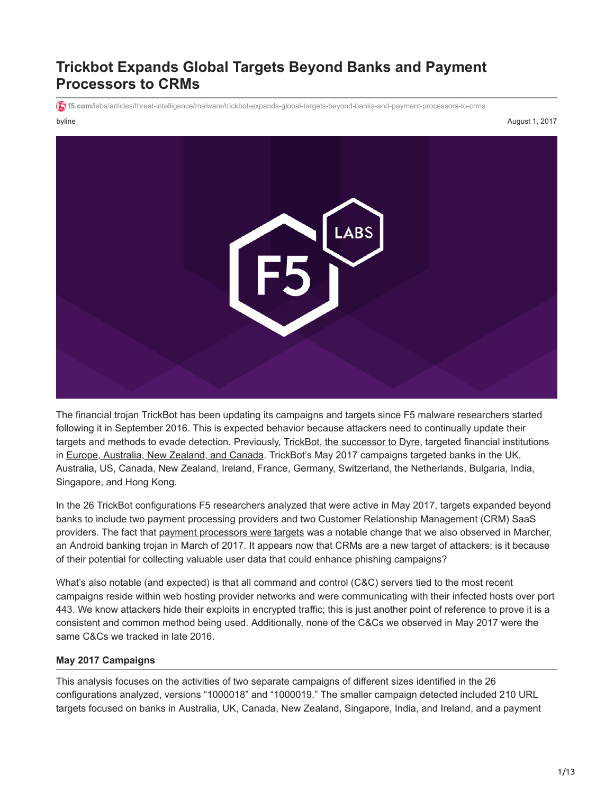# **Trickbot Expands Global Targets Beyond Banks and Payment Processors to CRMs**

byline August 1, 2017 **f5.com**[/labs/articles/threat-intelligence/malware/trickbot-expands-global-targets-beyond-banks-and-payment-processors-to-crms](https://f5.com/labs/articles/threat-intelligence/malware/trickbot-expands-global-targets-beyond-banks-and-payment-processors-to-crms)



The financial trojan TrickBot has been updating its campaigns and targets since F5 malware researchers started following it in September 2016. This is expected behavior because attackers need to continually update their targets and methods to evade detection. Previously, [TrickBot, the successor to Dyre,](https://f5.com/content/f5-labs/en/labs/articles/threat-intelligence/little-trickbot-growing-up-new-campaign-24412.html) targeted financial institutions in [Europe, Australia, New Zealand, and Canada](https://f5.com/content/f5-labs/en/labs/articles/threat-intelligence/trickbot-now-targeting-german-banking-group-sparkassen-finanzgruppe-24420.html). TrickBot's May 2017 campaigns targeted banks in the UK, Australia, US, Canada, New Zealand, Ireland, France, Germany, Switzerland, the Netherlands, Bulgaria, India, Singapore, and Hong Kong.

In the 26 TrickBot configurations F5 researchers analyzed that were active in May 2017, targets expanded beyond banks to include two payment processing providers and two Customer Relationship Management (CRM) SaaS providers. The fact that [payment processors were targets](https://f5.com/content/f5-labs/en/labs/articles/threat-intelligence/marcher-gets-close-to-users-by-targeting-mobile-banking-android-apps-social-media-and-email-26004.html) was a notable change that we also observed in Marcher, an Android banking trojan in March of 2017. It appears now that CRMs are a new target of attackers; is it because of their potential for collecting valuable user data that could enhance phishing campaigns?

What's also notable (and expected) is that all command and control (C&C) servers tied to the most recent campaigns reside within web hosting provider networks and were communicating with their infected hosts over port 443. We know attackers hide their exploits in encrypted traffic; this is just another point of reference to prove it is a consistent and common method being used. Additionally, none of the C&Cs we observed in May 2017 were the same C&Cs we tracked in late 2016.

#### **May 2017 Campaigns**

This analysis focuses on the activities of two separate campaigns of different sizes identified in the 26 configurations analyzed, versions "1000018" and "1000019." The smaller campaign detected included 210 URL targets focused on banks in Australia, UK, Canada, New Zealand, Singapore, India, and Ireland, and a payment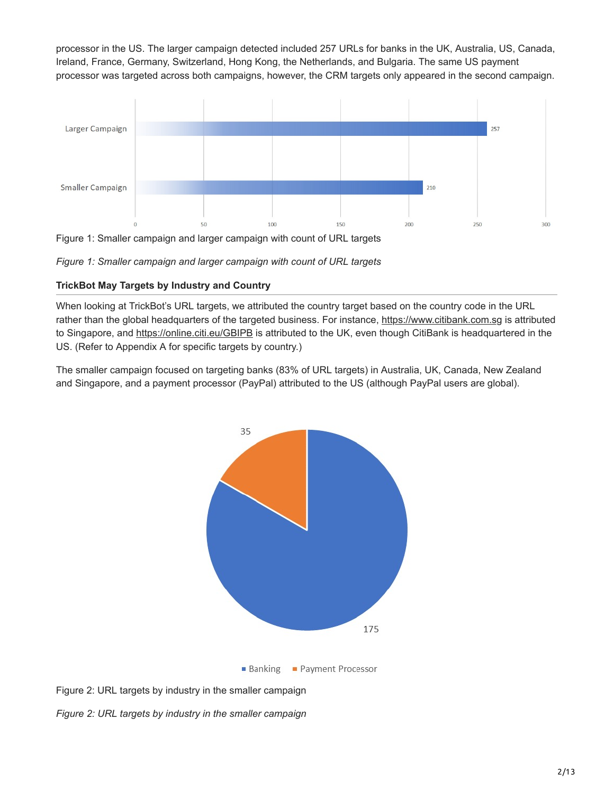processor in the US. The larger campaign detected included 257 URLs for banks in the UK, Australia, US, Canada, Ireland, France, Germany, Switzerland, Hong Kong, the Netherlands, and Bulgaria. The same US payment processor was targeted across both campaigns, however, the CRM targets only appeared in the second campaign.



Figure 1: Smaller campaign and larger campaign with count of URL targets



#### **TrickBot May Targets by Industry and Country**

When looking at TrickBot's URL targets, we attributed the country target based on the country code in the URL rather than the global headquarters of the targeted business. For instance, [https://www.citibank.com.sg](https://www.citibank.com.sg/portal/bluehome/index.htm) is attributed to Singapore, and [https://online.citi.eu/GBIPB](https://online.citi.eu/GBIPB/JPS/portal/Index.do?JFP_TOKEN=0T6C8HO2) is attributed to the UK, even though CitiBank is headquartered in the US. (Refer to Appendix A for specific targets by country.)

The smaller campaign focused on targeting banks (83% of URL targets) in Australia, UK, Canada, New Zealand and Singapore, and a payment processor (PayPal) attributed to the US (although PayPal users are global).





*Figure 2: URL targets by industry in the smaller campaign*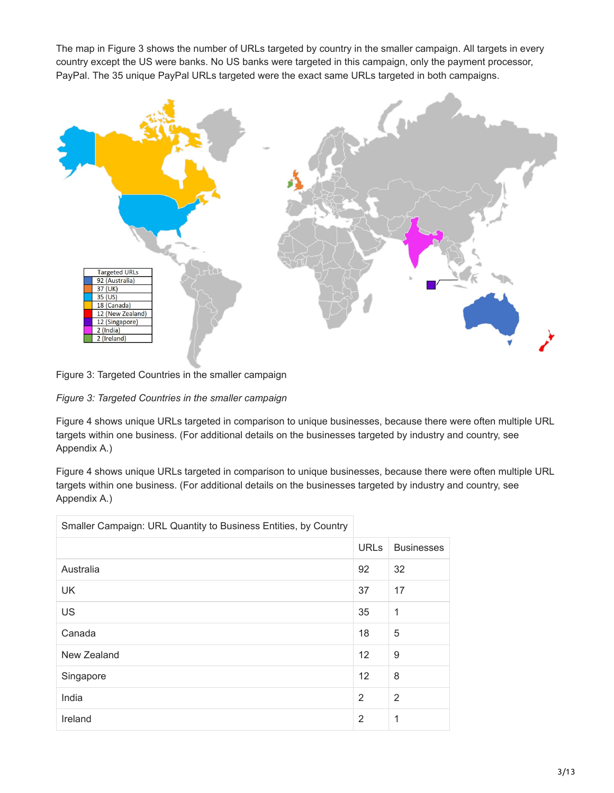The map in Figure 3 shows the number of URLs targeted by country in the smaller campaign. All targets in every country except the US were banks. No US banks were targeted in this campaign, only the payment processor, PayPal. The 35 unique PayPal URLs targeted were the exact same URLs targeted in both campaigns.



Figure 3: Targeted Countries in the smaller campaign

*Figure 3: Targeted Countries in the smaller campaign*

Figure 4 shows unique URLs targeted in comparison to unique businesses, because there were often multiple URL targets within one business. (For additional details on the businesses targeted by industry and country, see Appendix A.)

Figure 4 shows unique URLs targeted in comparison to unique businesses, because there were often multiple URL targets within one business. (For additional details on the businesses targeted by industry and country, see Appendix A.)

| Smaller Campaign: URL Quantity to Business Entities, by Country |                |                   |
|-----------------------------------------------------------------|----------------|-------------------|
|                                                                 | <b>URLs</b>    | <b>Businesses</b> |
| Australia                                                       | 92             | 32                |
| <b>UK</b>                                                       | 37             | 17                |
| US                                                              | 35             | 1                 |
| Canada                                                          | 18             | 5                 |
| New Zealand                                                     | 12             | 9                 |
| Singapore                                                       | 12             | 8                 |
| India                                                           | 2              | 2                 |
| Ireland                                                         | $\overline{2}$ | 1                 |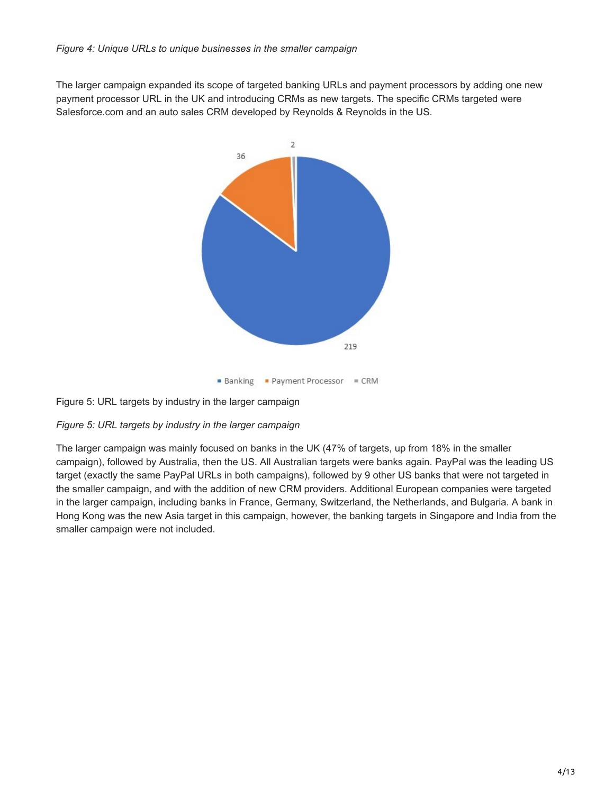The larger campaign expanded its scope of targeted banking URLs and payment processors by adding one new payment processor URL in the UK and introducing CRMs as new targets. The specific CRMs targeted were Salesforce.com and an auto sales CRM developed by Reynolds & Reynolds in the US.



Figure 5: URL targets by industry in the larger campaign

### *Figure 5: URL targets by industry in the larger campaign*

The larger campaign was mainly focused on banks in the UK (47% of targets, up from 18% in the smaller campaign), followed by Australia, then the US. All Australian targets were banks again. PayPal was the leading US target (exactly the same PayPal URLs in both campaigns), followed by 9 other US banks that were not targeted in the smaller campaign, and with the addition of new CRM providers. Additional European companies were targeted in the larger campaign, including banks in France, Germany, Switzerland, the Netherlands, and Bulgaria. A bank in Hong Kong was the new Asia target in this campaign, however, the banking targets in Singapore and India from the smaller campaign were not included.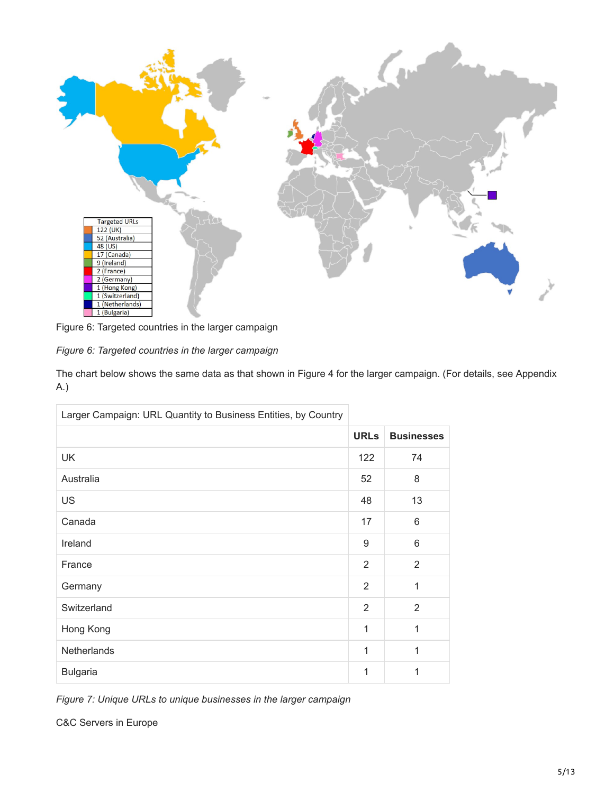

Figure 6: Targeted countries in the larger campaign

|  |  | Figure 6: Targeted countries in the larger campaign |
|--|--|-----------------------------------------------------|

The chart below shows the same data as that shown in Figure 4 for the larger campaign. (For details, see Appendix A.)

| Larger Campaign: URL Quantity to Business Entities, by Country |                |                   |
|----------------------------------------------------------------|----------------|-------------------|
|                                                                | <b>URLs</b>    | <b>Businesses</b> |
| <b>UK</b>                                                      | 122            | 74                |
| Australia                                                      | 52             | 8                 |
| US                                                             | 48             | 13                |
| Canada                                                         | 17             | 6                 |
| Ireland                                                        | 9              | 6                 |
| France                                                         | 2              | $\overline{2}$    |
| Germany                                                        | $\overline{2}$ | 1                 |
| Switzerland                                                    | $\overline{2}$ | $\overline{2}$    |
| Hong Kong                                                      | 1              | 1                 |
| Netherlands                                                    | 1              | 1                 |
| <b>Bulgaria</b>                                                | 1              | 1                 |

*Figure 7: Unique URLs to unique businesses in the larger campaign*

C&C Servers in Europe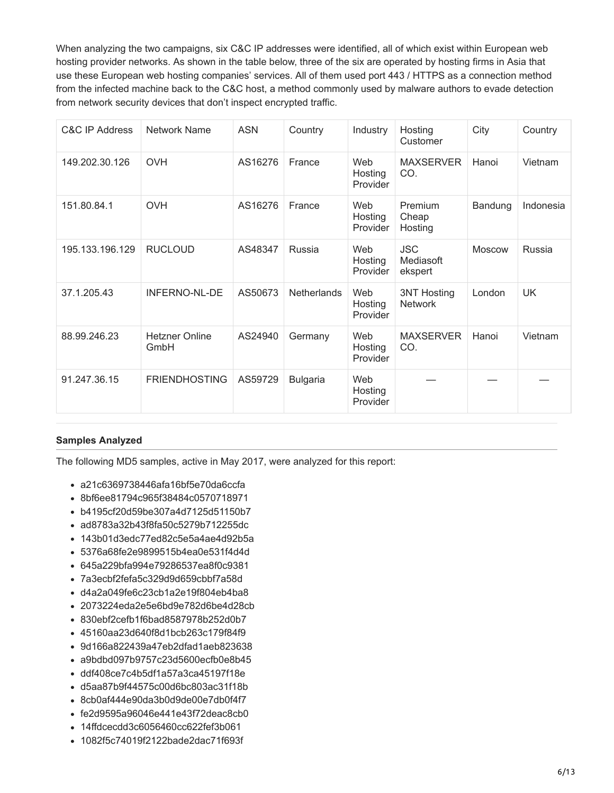When analyzing the two campaigns, six C&C IP addresses were identified, all of which exist within European web hosting provider networks. As shown in the table below, three of the six are operated by hosting firms in Asia that use these European web hosting companies' services. All of them used port 443 / HTTPS as a connection method from the infected machine back to the C&C host, a method commonly used by malware authors to evade detection from network security devices that don't inspect encrypted traffic.

| <b>C&amp;C IP Address</b> | <b>Network Name</b>           | <b>ASN</b> | Country            | Industry                   | Hosting<br>Customer                  | City          | Country   |
|---------------------------|-------------------------------|------------|--------------------|----------------------------|--------------------------------------|---------------|-----------|
| 149.202.30.126            | <b>OVH</b>                    | AS16276    | France             | Web<br>Hosting<br>Provider | <b>MAXSERVER</b><br>CO.              | Hanoi         | Vietnam   |
| 151.80.84.1               | <b>OVH</b>                    | AS16276    | France             | Web<br>Hosting<br>Provider | Premium<br>Cheap<br>Hosting          | Bandung       | Indonesia |
| 195.133.196.129           | <b>RUCLOUD</b>                | AS48347    | Russia             | Web<br>Hosting<br>Provider | <b>JSC</b><br>Mediasoft<br>ekspert   | <b>Moscow</b> | Russia    |
| 37.1.205.43               | <b>INFERNO-NL-DE</b>          | AS50673    | <b>Netherlands</b> | Web<br>Hosting<br>Provider | <b>3NT Hosting</b><br><b>Network</b> | London        | UK.       |
| 88.99.246.23              | <b>Hetzner Online</b><br>GmbH | AS24940    | Germany            | Web<br>Hosting<br>Provider | <b>MAXSERVER</b><br>CO.              | Hanoi         | Vietnam   |
| 91.247.36.15              | <b>FRIENDHOSTING</b>          | AS59729    | <b>Bulgaria</b>    | Web<br>Hosting<br>Provider |                                      |               |           |

#### **Samples Analyzed**

The following MD5 samples, active in May 2017, were analyzed for this report:

- a21c6369738446afa16bf5e70da6ccfa
- 8bf6ee81794c965f38484c0570718971
- b4195cf20d59be307a4d7125d51150b7
- ad8783a32b43f8fa50c5279b712255dc
- 143b01d3edc77ed82c5e5a4ae4d92b5a
- 5376a68fe2e9899515b4ea0e531f4d4d
- 645a229bfa994e79286537ea8f0c9381
- 7a3ecbf2fefa5c329d9d659cbbf7a58d
- d4a2a049fe6c23cb1a2e19f804eb4ba8
- 2073224eda2e5e6bd9e782d6be4d28cb
- 830ebf2cefb1f6bad8587978b252d0b7
- 45160aa23d640f8d1bcb263c179f84f9
- 9d166a822439a47eb2dfad1aeb823638
- a9bdbd097b9757c23d5600ecfb0e8b45
- ddf408ce7c4b5df1a57a3ca45197f18e
- d5aa87b9f44575c00d6bc803ac31f18b
- 8cb0af444e90da3b0d9de00e7db0f4f7
- fe2d9595a96046e441e43f72deac8cb0
- 14ffdcecdd3c6056460cc622fef3b061
- 1082f5c74019f2122bade2dac71f693f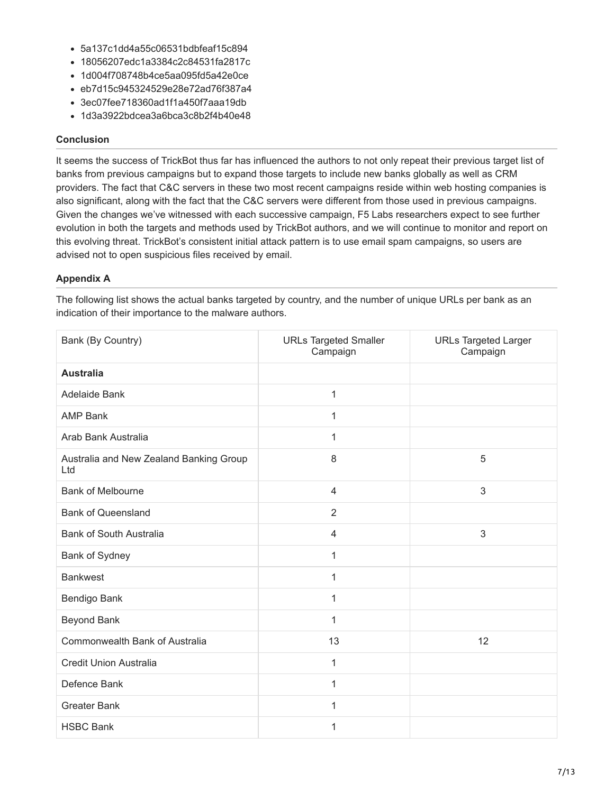- 5a137c1dd4a55c06531bdbfeaf15c894
- 18056207edc1a3384c2c84531fa2817c
- 1d004f708748b4ce5aa095fd5a42e0ce
- eb7d15c945324529e28e72ad76f387a4
- 3ec07fee718360ad1f1a450f7aaa19db
- 1d3a3922bdcea3a6bca3c8b2f4b40e48

#### **Conclusion**

It seems the success of TrickBot thus far has influenced the authors to not only repeat their previous target list of banks from previous campaigns but to expand those targets to include new banks globally as well as CRM providers. The fact that C&C servers in these two most recent campaigns reside within web hosting companies is also significant, along with the fact that the C&C servers were different from those used in previous campaigns. Given the changes we've witnessed with each successive campaign, F5 Labs researchers expect to see further evolution in both the targets and methods used by TrickBot authors, and we will continue to monitor and report on this evolving threat. TrickBot's consistent initial attack pattern is to use email spam campaigns, so users are advised not to open suspicious files received by email.

#### **Appendix A**

The following list shows the actual banks targeted by country, and the number of unique URLs per bank as an indication of their importance to the malware authors.

| Bank (By Country)                              | <b>URLs Targeted Smaller</b><br>Campaign | <b>URLs Targeted Larger</b><br>Campaign |
|------------------------------------------------|------------------------------------------|-----------------------------------------|
| <b>Australia</b>                               |                                          |                                         |
| Adelaide Bank                                  | 1                                        |                                         |
| <b>AMP Bank</b>                                | 1                                        |                                         |
| Arab Bank Australia                            | 1                                        |                                         |
| Australia and New Zealand Banking Group<br>Ltd | 8                                        | 5                                       |
| <b>Bank of Melbourne</b>                       | $\overline{4}$                           | 3                                       |
| <b>Bank of Queensland</b>                      | $\overline{2}$                           |                                         |
| <b>Bank of South Australia</b>                 | 4                                        | 3                                       |
| Bank of Sydney                                 | 1                                        |                                         |
| <b>Bankwest</b>                                | 1                                        |                                         |
| Bendigo Bank                                   | 1                                        |                                         |
| Beyond Bank                                    | 1                                        |                                         |
| Commonwealth Bank of Australia                 | 13                                       | 12                                      |
| Credit Union Australia                         | 1                                        |                                         |
| Defence Bank                                   | 1                                        |                                         |
| <b>Greater Bank</b>                            | 1                                        |                                         |
| <b>HSBC Bank</b>                               | 1                                        |                                         |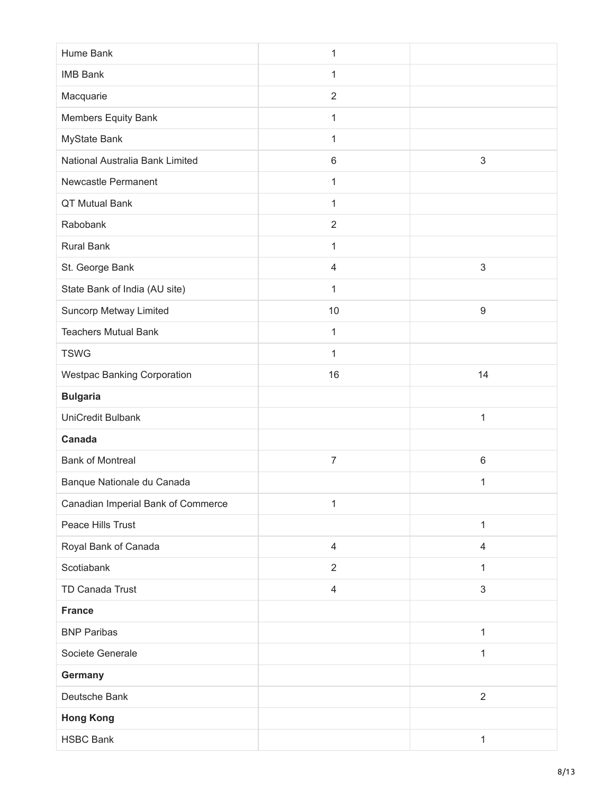| Hume Bank                          | $\mathbf 1$    |                |
|------------------------------------|----------------|----------------|
| <b>IMB Bank</b>                    | 1              |                |
| Macquarie                          | $\overline{2}$ |                |
| Members Equity Bank                | 1              |                |
| MyState Bank                       | 1              |                |
| National Australia Bank Limited    | $\,6$          | $\mathfrak{S}$ |
| Newcastle Permanent                | 1              |                |
| QT Mutual Bank                     | 1              |                |
| Rabobank                           | $\overline{2}$ |                |
| <b>Rural Bank</b>                  | 1              |                |
| St. George Bank                    | $\overline{4}$ | $\sqrt{3}$     |
| State Bank of India (AU site)      | 1              |                |
| Suncorp Metway Limited             | 10             | 9              |
| <b>Teachers Mutual Bank</b>        | 1              |                |
| <b>TSWG</b>                        | $\mathbf{1}$   |                |
| <b>Westpac Banking Corporation</b> | 16             | 14             |
| <b>Bulgaria</b>                    |                |                |
| UniCredit Bulbank                  |                | $\mathbf{1}$   |
| Canada                             |                |                |
| <b>Bank of Montreal</b>            | $\overline{7}$ | $\,6\,$        |
| Banque Nationale du Canada         |                | 1              |
| Canadian Imperial Bank of Commerce | $\mathbf 1$    |                |
| Peace Hills Trust                  |                | $\mathbf{1}$   |
| Royal Bank of Canada               |                |                |
|                                    | $\overline{4}$ | $\overline{4}$ |
| Scotiabank                         | $\overline{2}$ | 1              |
| TD Canada Trust                    | $\overline{4}$ | $\sqrt{3}$     |
| <b>France</b>                      |                |                |
| <b>BNP Paribas</b>                 |                | $\mathbf{1}$   |
| Societe Generale                   |                | $\mathbf{1}$   |
| Germany                            |                |                |
| Deutsche Bank                      |                | $\overline{2}$ |
| <b>Hong Kong</b>                   |                |                |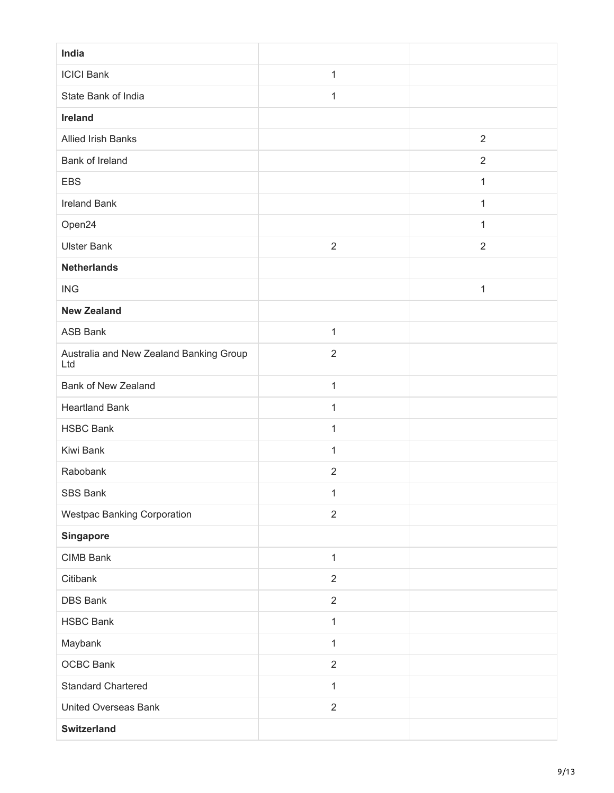| India                                          |                |                |
|------------------------------------------------|----------------|----------------|
| <b>ICICI Bank</b>                              | 1              |                |
| State Bank of India                            | 1              |                |
| Ireland                                        |                |                |
| Allied Irish Banks                             |                | $\overline{2}$ |
| Bank of Ireland                                |                | $\overline{2}$ |
| <b>EBS</b>                                     |                | $\mathbf{1}$   |
| <b>Ireland Bank</b>                            |                | 1              |
| Open24                                         |                | 1              |
| <b>Ulster Bank</b>                             | $\overline{2}$ | $\overline{2}$ |
| <b>Netherlands</b>                             |                |                |
| <b>ING</b>                                     |                | 1              |
| <b>New Zealand</b>                             |                |                |
| <b>ASB Bank</b>                                | $\mathbf{1}$   |                |
| Australia and New Zealand Banking Group<br>Ltd | $\overline{2}$ |                |
| <b>Bank of New Zealand</b>                     | $\mathbf 1$    |                |
| <b>Heartland Bank</b>                          | $\mathbf{1}$   |                |
| <b>HSBC Bank</b>                               | 1              |                |
| Kiwi Bank                                      | 1              |                |
| Rabobank                                       | $\overline{2}$ |                |
| SBS Bank                                       | 1              |                |
| <b>Westpac Banking Corporation</b>             | $\overline{2}$ |                |
| Singapore                                      |                |                |
| CIMB Bank                                      | $\mathbf{1}$   |                |
| Citibank                                       | $\overline{2}$ |                |
| <b>DBS Bank</b>                                | $\overline{2}$ |                |
| <b>HSBC Bank</b>                               | $\mathbf{1}$   |                |
| Maybank                                        | 1              |                |
| <b>OCBC Bank</b>                               | $\overline{2}$ |                |
| <b>Standard Chartered</b>                      | $\mathbf{1}$   |                |
| <b>United Overseas Bank</b>                    | $\sqrt{2}$     |                |
| <b>Switzerland</b>                             |                |                |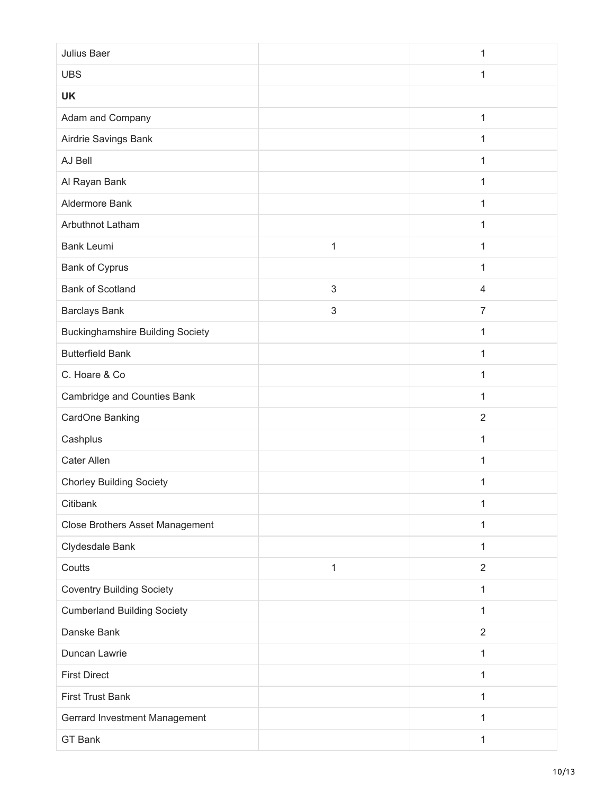| Julius Baer                             |              | 1              |
|-----------------------------------------|--------------|----------------|
| <b>UBS</b>                              |              | 1              |
| <b>UK</b>                               |              |                |
| Adam and Company                        |              | $\mathbf{1}$   |
| Airdrie Savings Bank                    |              | 1              |
| AJ Bell                                 |              | 1              |
| Al Rayan Bank                           |              | 1              |
| Aldermore Bank                          |              | 1              |
| Arbuthnot Latham                        |              | 1              |
| <b>Bank Leumi</b>                       | $\mathbf{1}$ | 1              |
| Bank of Cyprus                          |              | 1              |
| <b>Bank of Scotland</b>                 | 3            | $\overline{4}$ |
| <b>Barclays Bank</b>                    | 3            | $\overline{7}$ |
| <b>Buckinghamshire Building Society</b> |              | $\mathbf{1}$   |
| <b>Butterfield Bank</b>                 |              | $\mathbf{1}$   |
| C. Hoare & Co                           |              | 1              |
| Cambridge and Counties Bank             |              | 1              |
| CardOne Banking                         |              | $\overline{2}$ |
| Cashplus                                |              | 1              |
| Cater Allen                             |              | $\mathbf{1}$   |
| <b>Chorley Building Society</b>         |              | 1              |
| Citibank                                |              | $\mathbf 1$    |
| Close Brothers Asset Management         |              | 1              |
| Clydesdale Bank                         |              | 1              |
| Coutts                                  | 1            | $\overline{2}$ |
| <b>Coventry Building Society</b>        |              | 1              |
| <b>Cumberland Building Society</b>      |              | 1              |
| Danske Bank                             |              | $\overline{2}$ |
| Duncan Lawrie                           |              | 1              |
| <b>First Direct</b>                     |              | 1              |
| <b>First Trust Bank</b>                 |              | 1              |
| Gerrard Investment Management           |              | 1              |
| GT Bank                                 |              | 1              |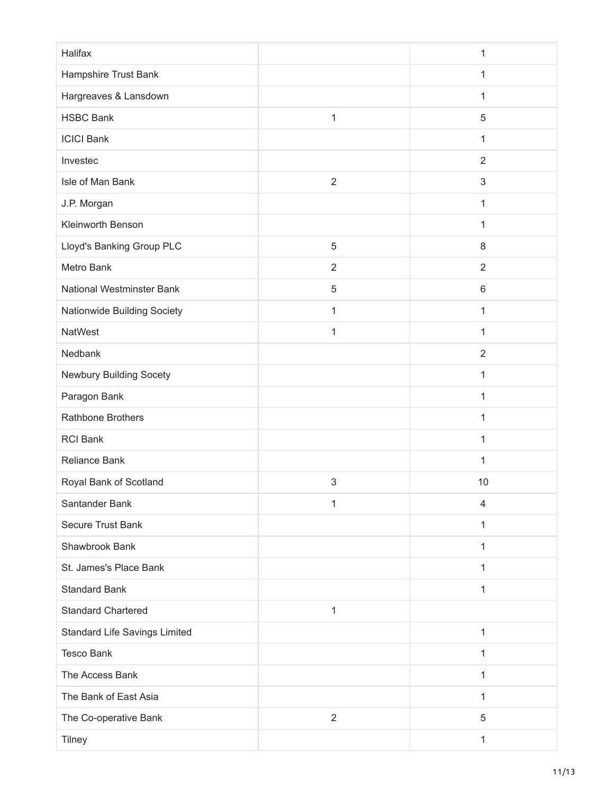| Halifax                       |                | $\mathbf{1}$   |
|-------------------------------|----------------|----------------|
| Hampshire Trust Bank          |                | 1              |
| Hargreaves & Lansdown         |                | 1              |
| <b>HSBC Bank</b>              | $\mathbf{1}$   | 5              |
| <b>ICICI Bank</b>             |                | 1              |
| Investec                      |                | $\overline{2}$ |
| Isle of Man Bank              | $\overline{2}$ | 3              |
| J.P. Morgan                   |                | 1              |
| Kleinworth Benson             |                | 1              |
| Lloyd's Banking Group PLC     | 5              | 8              |
| Metro Bank                    | $\overline{2}$ | $\overline{2}$ |
| National Westminster Bank     | 5              | $6\phantom{1}$ |
| Nationwide Building Society   | 1              | 1              |
| <b>NatWest</b>                | 1              | 1              |
| Nedbank                       |                | $\overline{2}$ |
| Newbury Building Socety       |                | 1              |
| Paragon Bank                  |                | 1              |
| Rathbone Brothers             |                | 1              |
| <b>RCI Bank</b>               |                | 1              |
| <b>Reliance Bank</b>          |                | 1              |
| Royal Bank of Scotland        | 3              | 10             |
| Santander Bank                | 1              | $\overline{4}$ |
| Secure Trust Bank             |                | 1              |
| Shawbrook Bank                |                | 1              |
| St. James's Place Bank        |                | $\mathbf{1}$   |
| <b>Standard Bank</b>          |                | 1              |
| <b>Standard Chartered</b>     | 1              |                |
| Standard Life Savings Limited |                | 1              |
| <b>Tesco Bank</b>             |                | 1              |
| The Access Bank               |                | 1              |
| The Bank of East Asia         |                | 1              |
| The Co-operative Bank         | $\overline{2}$ | 5              |
| <b>Tilney</b>                 |                | 1              |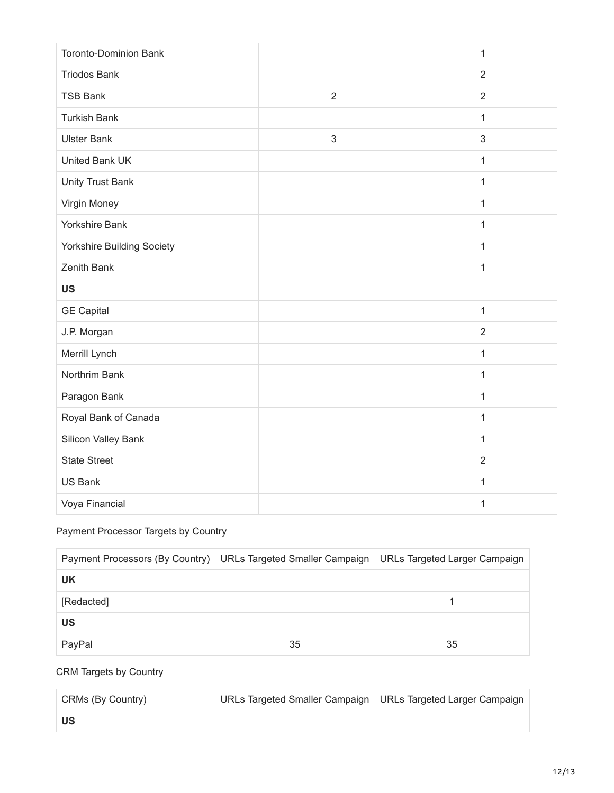| <b>Toronto-Dominion Bank</b> |                | $\mathbf{1}$   |
|------------------------------|----------------|----------------|
| <b>Triodos Bank</b>          |                | $\overline{2}$ |
| <b>TSB Bank</b>              | $\overline{2}$ | $\overline{2}$ |
| <b>Turkish Bank</b>          |                | $\mathbf{1}$   |
| <b>Ulster Bank</b>           | 3              | 3              |
| United Bank UK               |                | $\mathbf{1}$   |
| <b>Unity Trust Bank</b>      |                | $\mathbf{1}$   |
| Virgin Money                 |                | $\mathbf{1}$   |
| Yorkshire Bank               |                | 1              |
| Yorkshire Building Society   |                | $\mathbf{1}$   |
| Zenith Bank                  |                | $\mathbf{1}$   |
|                              |                |                |
| <b>US</b>                    |                |                |
| <b>GE Capital</b>            |                | $\mathbf{1}$   |
| J.P. Morgan                  |                | $\overline{2}$ |
| Merrill Lynch                |                | $\mathbf{1}$   |
| Northrim Bank                |                | $\mathbf{1}$   |
| Paragon Bank                 |                | $\mathbf{1}$   |
| Royal Bank of Canada         |                | $\mathbf{1}$   |
| Silicon Valley Bank          |                | 1              |
| <b>State Street</b>          |                | $\overline{2}$ |
| US Bank                      |                | $\mathbf{1}$   |

## Payment Processor Targets by Country

|            | Payment Processors (By Country)   URLs Targeted Smaller Campaign   URLs Targeted Larger Campaign |    |
|------------|--------------------------------------------------------------------------------------------------|----|
| <b>UK</b>  |                                                                                                  |    |
| [Redacted] |                                                                                                  |    |
| US         |                                                                                                  |    |
| PayPal     | 35                                                                                               | 35 |

## CRM Targets by Country

| CRMs (By Country) | URLs Targeted Smaller Campaign   URLs Targeted Larger Campaign |  |
|-------------------|----------------------------------------------------------------|--|
| ีนร               |                                                                |  |